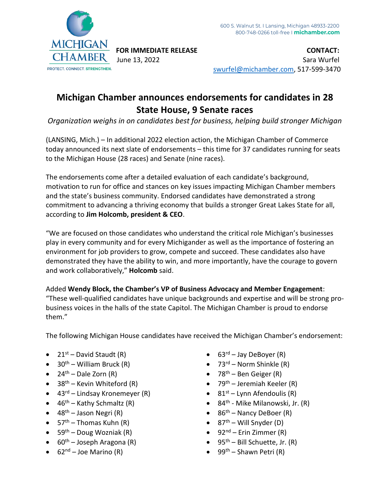

**FOR IMMEDIATE RELEASE CONTACT:** June 13, 2022 Sara Wurfel [swurfel@michamber.com,](mailto:swurfel@michamber.com) 517-599-3470

## **Michigan Chamber announces endorsements for candidates in 28 State House, 9 Senate races**

*Organization weighs in on candidates best for business, helping build stronger Michigan*

(LANSING, Mich.) – In additional 2022 election action, the Michigan Chamber of Commerce today announced its next slate of endorsements – this time for 37 candidates running for seats to the Michigan House (28 races) and Senate (nine races).

The endorsements come after a detailed evaluation of each candidate's background, motivation to run for office and stances on key issues impacting Michigan Chamber members and the state's business community. Endorsed candidates have demonstrated a strong commitment to advancing a thriving economy that builds a stronger Great Lakes State for all, according to **Jim Holcomb, president & CEO**.

"We are focused on those candidates who understand the critical role Michigan's businesses play in every community and for every Michigander as well as the importance of fostering an environment for job providers to grow, compete and succeed. These candidates also have demonstrated they have the ability to win, and more importantly, have the courage to govern and work collaboratively," **Holcomb** said.

## Added **Wendy Block, the Chamber's VP of Business Advocacy and Member Engagement**:

"These well-qualified candidates have unique backgrounds and expertise and will be strong probusiness voices in the halls of the state Capitol. The Michigan Chamber is proud to endorse them."

The following Michigan House candidates have received the Michigan Chamber's endorsement:

- $21^{st}$  David Staudt (R)
- 30<sup>th</sup> William Bruck (R)
- $24<sup>th</sup>$  Dale Zorn (R)
- $38<sup>th</sup>$  Kevin Whiteford (R)
- $43^{rd}$  Lindsay Kronemeyer (R)
- $46<sup>th</sup>$  Kathy Schmaltz (R)
- $\bullet$  48<sup>th</sup> Jason Negri (R)
- $57<sup>th</sup>$  Thomas Kuhn (R)
- $59<sup>th</sup>$  Doug Wozniak (R)
- $60^{\text{th}}$  Joseph Aragona (R)
- 62<sup>nd</sup> Joe Marino (R)
- $63^{\text{rd}}$  Jay DeBoyer (R)
- $73<sup>rd</sup>$  Norm Shinkle (R)
- $78<sup>th</sup>$  Ben Geiger (R)
- 79<sup>th</sup> Jeremiah Keeler (R)
- $81<sup>st</sup>$  Lynn Afendoulis (R)
- 84<sup>th</sup> Mike Milanowski, Jr. (R)
- $86<sup>th</sup>$  Nancy DeBoer (R)
- $87<sup>th</sup>$  Will Snyder (D)
- $92<sup>nd</sup>$  Erin Zimmer (R)
- $95<sup>th</sup>$  Bill Schuette, Jr. (R)
- 99<sup>th</sup> Shawn Petri (R)